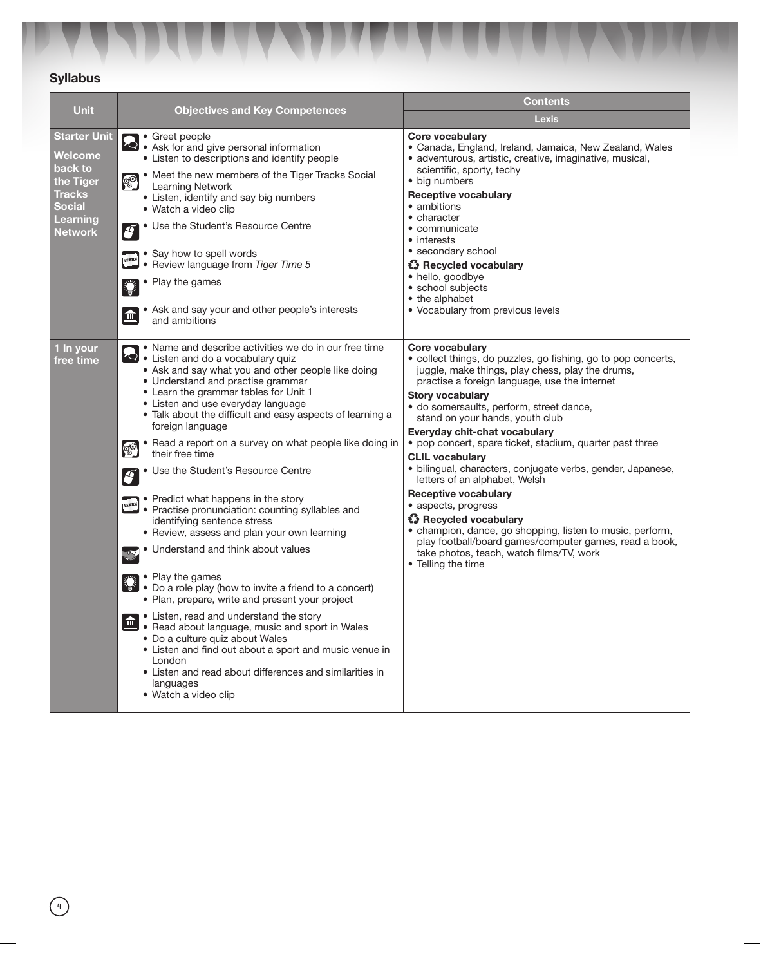## Syllabus

|                                                                                                                               |                                                                                                                                                                                                                                                                                                                                                                                                                                                                                                                                                                                                                                                                                                                                                                                                                                                                                                                                                                                                                                                                                                                                                                                         | <b>Contents</b>                                                                                                                                                                                                                                                                                                                                                                                                                                                                                                                                                                                                                                                                                                                                                                                        |  |
|-------------------------------------------------------------------------------------------------------------------------------|-----------------------------------------------------------------------------------------------------------------------------------------------------------------------------------------------------------------------------------------------------------------------------------------------------------------------------------------------------------------------------------------------------------------------------------------------------------------------------------------------------------------------------------------------------------------------------------------------------------------------------------------------------------------------------------------------------------------------------------------------------------------------------------------------------------------------------------------------------------------------------------------------------------------------------------------------------------------------------------------------------------------------------------------------------------------------------------------------------------------------------------------------------------------------------------------|--------------------------------------------------------------------------------------------------------------------------------------------------------------------------------------------------------------------------------------------------------------------------------------------------------------------------------------------------------------------------------------------------------------------------------------------------------------------------------------------------------------------------------------------------------------------------------------------------------------------------------------------------------------------------------------------------------------------------------------------------------------------------------------------------------|--|
| Unit                                                                                                                          | <b>Objectives and Key Competences</b>                                                                                                                                                                                                                                                                                                                                                                                                                                                                                                                                                                                                                                                                                                                                                                                                                                                                                                                                                                                                                                                                                                                                                   | <b>Lexis</b>                                                                                                                                                                                                                                                                                                                                                                                                                                                                                                                                                                                                                                                                                                                                                                                           |  |
| <b>Starter Unit</b><br><b>Welcome</b><br>back to<br>the Tiger<br><b>Tracks</b><br><b>Social</b><br>Learning<br><b>Network</b> | • Greet people<br>Solid contract people<br>Solid Ask for and give personal information<br>Solid change is and identify people<br>• Listen to descriptions and identify people<br>• Meet the new members of the Tiger Tracks Social<br><b>OO</b><br><b>Learning Network</b><br>• Listen, identify and say big numbers<br>• Watch a video clip<br>• Use the Student's Resource Centre<br>F<br>• Say how to spell words<br>LEARN<br>Review language from Tiger Time 5<br>• Play the games<br>• Ask and say your and other people's interests<br>$\blacksquare$<br>and ambitions                                                                                                                                                                                                                                                                                                                                                                                                                                                                                                                                                                                                            | Core vocabulary<br>• Canada, England, Ireland, Jamaica, New Zealand, Wales<br>· adventurous, artistic, creative, imaginative, musical,<br>scientific, sporty, techy<br>• big numbers<br><b>Receptive vocabulary</b><br>• ambitions<br>• character<br>• communicate<br>• interests<br>• secondary school<br><b>43</b> Recycled vocabulary<br>· hello, goodbye<br>• school subjects<br>• the alphabet<br>• Vocabulary from previous levels                                                                                                                                                                                                                                                                                                                                                               |  |
| 1 In your<br>free time                                                                                                        | • Name and describe activities we do in our free time<br>Listen and do a vocabulary quiz<br>• Ask and say what you and other people like doing<br>• Understand and practise grammar<br>• Learn the grammar tables for Unit 1<br>• Listen and use everyday language<br>• Talk about the difficult and easy aspects of learning a<br>foreign language<br>• Read a report on a survey on what people like doing in<br><b>00</b><br>their free time<br>Use the Student's Resource Centre<br>F<br>• Predict what happens in the story<br>LEARN<br>• Practise pronunciation: counting syllables and<br>identifying sentence stress<br>• Review, assess and plan your own learning<br>Understand and think about values<br><b>Sept</b><br>• Play the games<br>• Do a role play (how to invite a friend to a concert)<br>• Plan, prepare, write and present your project<br>• Listen, read and understand the story<br>$\blacksquare$<br>• Read about language, music and sport in Wales<br>• Do a culture quiz about Wales<br>• Listen and find out about a sport and music venue in<br>London<br>• Listen and read about differences and similarities in<br>languages<br>• Watch a video clip | Core vocabulary<br>· collect things, do puzzles, go fishing, go to pop concerts,<br>juggle, make things, play chess, play the drums,<br>practise a foreign language, use the internet<br><b>Story vocabulary</b><br>· do somersaults, perform, street dance,<br>stand on your hands, youth club<br>Everyday chit-chat vocabulary<br>• pop concert, spare ticket, stadium, quarter past three<br><b>CLIL vocabulary</b><br>· bilingual, characters, conjugate verbs, gender, Japanese,<br>letters of an alphabet, Welsh<br><b>Receptive vocabulary</b><br>• aspects, progress<br><b>43</b> Recycled vocabulary<br>• champion, dance, go shopping, listen to music, perform,<br>play football/board games/computer games, read a book,<br>take photos, teach, watch films/TV, work<br>• Telling the time |  |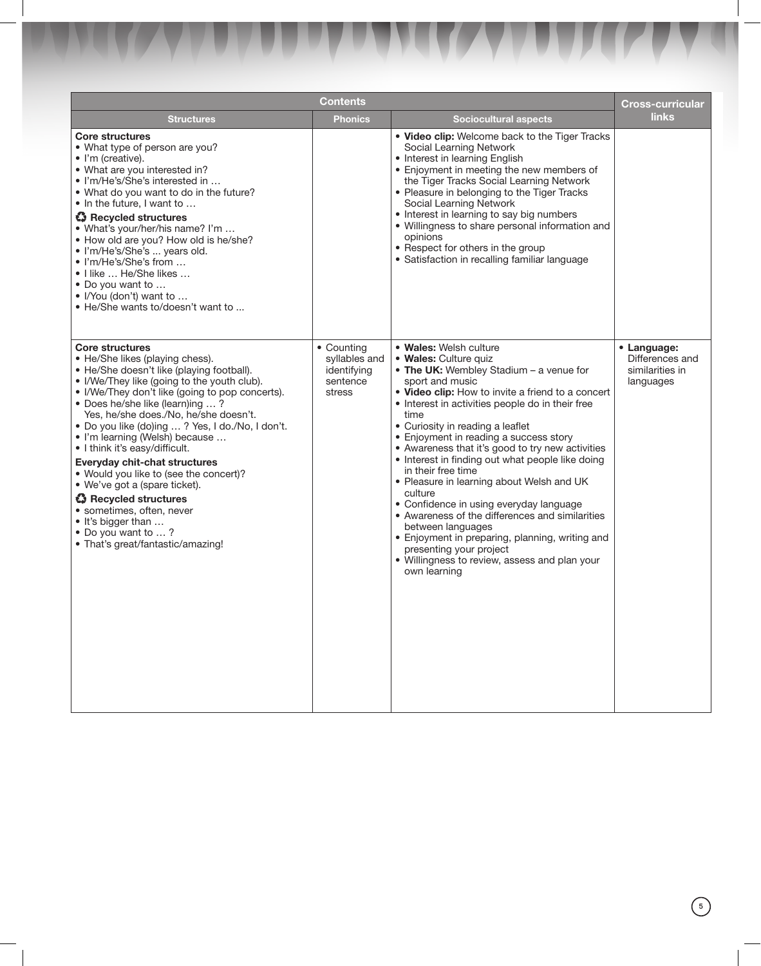|                                                                                                                                                                                                                                                                                                                                                                                                                                                                                                                                                                                                                                                                               | Contents                                                         |                                                                                                                                                                                                                                                                                                                                                                                                                                                                                                                                                                                                                                                                                                                                                                      | <b>Cross-curricular</b>                                        |
|-------------------------------------------------------------------------------------------------------------------------------------------------------------------------------------------------------------------------------------------------------------------------------------------------------------------------------------------------------------------------------------------------------------------------------------------------------------------------------------------------------------------------------------------------------------------------------------------------------------------------------------------------------------------------------|------------------------------------------------------------------|----------------------------------------------------------------------------------------------------------------------------------------------------------------------------------------------------------------------------------------------------------------------------------------------------------------------------------------------------------------------------------------------------------------------------------------------------------------------------------------------------------------------------------------------------------------------------------------------------------------------------------------------------------------------------------------------------------------------------------------------------------------------|----------------------------------------------------------------|
| <b>Structures</b>                                                                                                                                                                                                                                                                                                                                                                                                                                                                                                                                                                                                                                                             | Phonics                                                          | <b>Sociocultural aspects</b>                                                                                                                                                                                                                                                                                                                                                                                                                                                                                                                                                                                                                                                                                                                                         | links                                                          |
| <b>Core structures</b><br>• What type of person are you?<br>• I'm (creative).<br>• What are you interested in?<br>· I'm/He's/She's interested in<br>. What do you want to do in the future?<br>• In the future, I want to<br><b>43</b> Recycled structures<br>• What's your/her/his name? I'm<br>• How old are you? How old is he/she?<br>· I'm/He's/She's  years old.<br>• I'm/He's/She's from<br>• I like  He/She likes<br>• Do you want to<br>• I/You (don't) want to<br>• He/She wants to/doesn't want to                                                                                                                                                                 |                                                                  | . Video clip: Welcome back to the Tiger Tracks<br>Social Learning Network<br>• Interest in learning English<br>• Enjoyment in meeting the new members of<br>the Tiger Tracks Social Learning Network<br>• Pleasure in belonging to the Tiger Tracks<br>Social Learning Network<br>• Interest in learning to say big numbers<br>• Willingness to share personal information and<br>opinions<br>• Respect for others in the group<br>• Satisfaction in recalling familiar language                                                                                                                                                                                                                                                                                     |                                                                |
| <b>Core structures</b><br>• He/She likes (playing chess).<br>• He/She doesn't like (playing football).<br>• I/We/They like (going to the youth club).<br>• I/We/They don't like (going to pop concerts).<br>• Does he/she like (learn)ing ?<br>Yes, he/she does./No, he/she doesn't.<br>• Do you like (do)ing ? Yes, I do./No, I don't.<br>• I'm learning (Welsh) because<br>• I think it's easy/difficult.<br><b>Everyday chit-chat structures</b><br>• Would you like to (see the concert)?<br>• We've got a (spare ticket).<br><b>43</b> Recycled structures<br>• sometimes, often, never<br>• It's bigger than<br>• Do you want to ?<br>• That's great/fantastic/amazing! | • Counting<br>syllables and<br>identifying<br>sentence<br>stress | • Wales: Welsh culture<br>· Wales: Culture quiz<br>• The UK: Wembley Stadium - a venue for<br>sport and music<br>. Video clip: How to invite a friend to a concert<br>• Interest in activities people do in their free<br>time<br>• Curiosity in reading a leaflet<br>• Enjoyment in reading a success story<br>• Awareness that it's good to try new activities<br>• Interest in finding out what people like doing<br>in their free time<br>• Pleasure in learning about Welsh and UK<br>culture<br>• Confidence in using everyday language<br>• Awareness of the differences and similarities<br>between languages<br>• Enjoyment in preparing, planning, writing and<br>presenting your project<br>• Willingness to review, assess and plan your<br>own learning | • Language:<br>Differences and<br>similarities in<br>languages |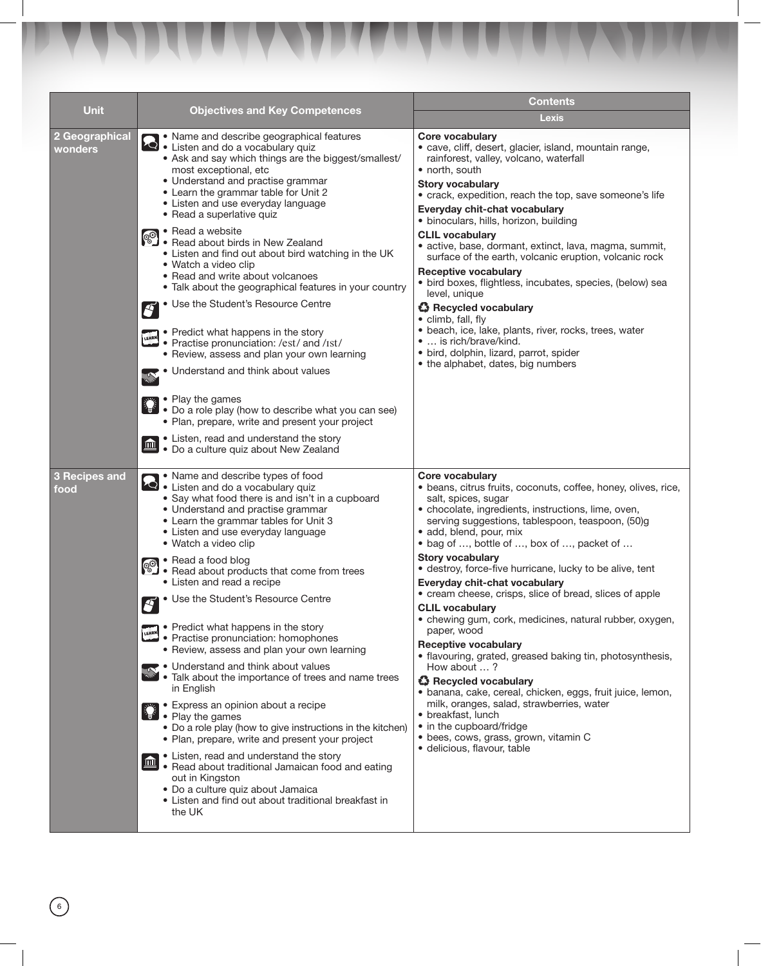| <b>Unit</b>               | <b>Objectives and Key Competences</b>                                                                                                                                                                                                                                                                                                                                                                                                                                                                                                                                                                                                                                                                                                                                                                                                                                                                                                                                                                                                                                                                                                                                    | <b>Contents</b>                                                                                                                                                                                                                                                                                                                                                                                                                                                                                                                                                                                                                                                                                                                                                                                                                                                                                                                                                           |  |
|---------------------------|--------------------------------------------------------------------------------------------------------------------------------------------------------------------------------------------------------------------------------------------------------------------------------------------------------------------------------------------------------------------------------------------------------------------------------------------------------------------------------------------------------------------------------------------------------------------------------------------------------------------------------------------------------------------------------------------------------------------------------------------------------------------------------------------------------------------------------------------------------------------------------------------------------------------------------------------------------------------------------------------------------------------------------------------------------------------------------------------------------------------------------------------------------------------------|---------------------------------------------------------------------------------------------------------------------------------------------------------------------------------------------------------------------------------------------------------------------------------------------------------------------------------------------------------------------------------------------------------------------------------------------------------------------------------------------------------------------------------------------------------------------------------------------------------------------------------------------------------------------------------------------------------------------------------------------------------------------------------------------------------------------------------------------------------------------------------------------------------------------------------------------------------------------------|--|
|                           |                                                                                                                                                                                                                                                                                                                                                                                                                                                                                                                                                                                                                                                                                                                                                                                                                                                                                                                                                                                                                                                                                                                                                                          | Lexis                                                                                                                                                                                                                                                                                                                                                                                                                                                                                                                                                                                                                                                                                                                                                                                                                                                                                                                                                                     |  |
| 2 Geographical<br>wonders | • Name and describe geographical features<br><b>A</b> Name and do a vocabulary quiz<br>Listen and do a vocabulary quize<br>• Ask and say which things are the biggest/smallest/<br>most exceptional, etc<br>· Understand and practise grammar<br>• Learn the grammar table for Unit 2<br>• Listen and use everyday language<br>• Read a superlative quiz<br>• Read a website<br><b>ED</b> Pread a website<br><b>Pread about birds in New Zealand</b><br><b>Predict</b> high wat<br>• Listen and find out about bird watching in the UK<br>• Watch a video clip<br>• Read and write about volcanoes<br>• Talk about the geographical features in your country<br>• Use the Student's Resource Centre<br>Í<br>• Predict what happens in the story<br>LEARN<br>• Practise pronunciation: /est/ and /ist/<br>• Review, assess and plan your own learning<br>Understand and think about values<br>• Play the games<br>• Do a role play (how to describe what you can see)<br>• Plan, prepare, write and present your project<br>• Listen, read and understand the story<br>$\blacksquare$<br>· Do a culture quiz about New Zealand                                            | <b>Core vocabulary</b><br>· cave, cliff, desert, glacier, island, mountain range,<br>rainforest, valley, volcano, waterfall<br>• north, south<br><b>Story vocabulary</b><br>• crack, expedition, reach the top, save someone's life<br>Everyday chit-chat vocabulary<br>· binoculars, hills, horizon, building<br><b>CLIL vocabulary</b><br>• active, base, dormant, extinct, lava, magma, summit,<br>surface of the earth, volcanic eruption, volcanic rock<br><b>Receptive vocabulary</b><br>• bird boxes, flightless, incubates, species, (below) sea<br>level, unique<br><b>43</b> Recycled vocabulary<br>• climb, fall, fly<br>· beach, ice, lake, plants, river, rocks, trees, water<br>•  is rich/brave/kind.<br>· bird, dolphin, lizard, parrot, spider<br>• the alphabet, dates, big numbers                                                                                                                                                                     |  |
| 3 Recipes and<br>food     | • Name and describe types of food<br>Listen and do a vocabulary quiz<br>• Say what food there is and isn't in a cupboard<br>• Understand and practise grammar<br>• Learn the grammar tables for Unit 3<br>• Listen and use everyday language<br>• Watch a video clip<br>• Read a food blog<br>$\circ$<br>$\ddot{\bullet}$ $\bullet$ Read about products that come from trees<br>• Listen and read a recipe<br>• Use the Student's Resource Centre<br>Í<br>• Predict what happens in the story<br>LEARN<br>• Practise pronunciation: homophones<br>• Review, assess and plan your own learning<br>• Understand and think about values<br>• Talk about the importance of trees and name trees<br>in English<br>• Express an opinion about a recipe<br>$\gamma_{\overline{\mathbf{g}}^{\mathcal{K}}}$ .<br>• Play the games<br>• Do a role play (how to give instructions in the kitchen)<br>• Plan, prepare, write and present your project<br>• Listen, read and understand the story<br>血<br>• Read about traditional Jamaican food and eating<br>out in Kingston<br>· Do a culture quiz about Jamaica<br>• Listen and find out about traditional breakfast in<br>the UK | <b>Core vocabulary</b><br>· beans, citrus fruits, coconuts, coffee, honey, olives, rice,<br>salt, spices, sugar<br>• chocolate, ingredients, instructions, lime, oven,<br>serving suggestions, tablespoon, teaspoon, (50)g<br>· add, blend, pour, mix<br>• bag of , bottle of , box of , packet of<br><b>Story vocabulary</b><br>· destroy, force-five hurricane, lucky to be alive, tent<br>Everyday chit-chat vocabulary<br>• cream cheese, crisps, slice of bread, slices of apple<br><b>CLIL vocabulary</b><br>• chewing gum, cork, medicines, natural rubber, oxygen,<br>paper, wood<br><b>Receptive vocabulary</b><br>• flavouring, grated, greased baking tin, photosynthesis,<br>How about ?<br><b>∛ Recycled vocabulary</b><br>· banana, cake, cereal, chicken, eggs, fruit juice, lemon,<br>milk, oranges, salad, strawberries, water<br>• breakfast, lunch<br>• in the cupboard/fridge<br>• bees, cows, grass, grown, vitamin C<br>· delicious, flavour, table |  |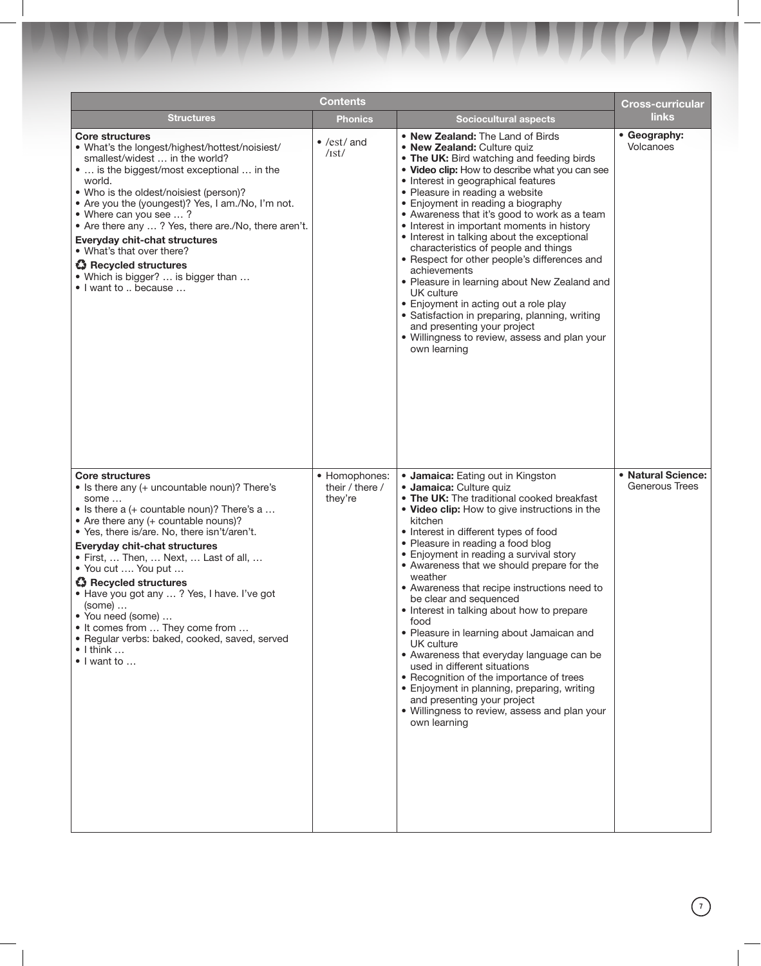|                                                                                                                                                                                                                                                                                                                                                                                                                                                                                                                                                                                  | Contents                                    |                                                                                                                                                                                                                                                                                                                                                                                                                                                                                                                                                                                                                                                                                                                                                                                                                             | <b>Cross-curricular</b>              |
|----------------------------------------------------------------------------------------------------------------------------------------------------------------------------------------------------------------------------------------------------------------------------------------------------------------------------------------------------------------------------------------------------------------------------------------------------------------------------------------------------------------------------------------------------------------------------------|---------------------------------------------|-----------------------------------------------------------------------------------------------------------------------------------------------------------------------------------------------------------------------------------------------------------------------------------------------------------------------------------------------------------------------------------------------------------------------------------------------------------------------------------------------------------------------------------------------------------------------------------------------------------------------------------------------------------------------------------------------------------------------------------------------------------------------------------------------------------------------------|--------------------------------------|
| <b>Structures</b>                                                                                                                                                                                                                                                                                                                                                                                                                                                                                                                                                                | Phonics                                     | <b>Sociocultural aspects</b>                                                                                                                                                                                                                                                                                                                                                                                                                                                                                                                                                                                                                                                                                                                                                                                                | links                                |
| <b>Core structures</b><br>• What's the longest/highest/hottest/noisiest/<br>smallest/widest  in the world?<br>•  is the biggest/most exceptional  in the<br>world.<br>• Who is the oldest/noisiest (person)?<br>• Are you the (youngest)? Yes, I am./No, I'm not.<br>• Where can you see ?<br>• Are there any ? Yes, there are./No, there aren't.<br><b>Everyday chit-chat structures</b><br>• What's that over there?<br>Recycled structures<br>• Which is bigger?  is bigger than<br>• I want to  because                                                                      | $\bullet$ /est/ and<br>/1st/                | • New Zealand: The Land of Birds<br>• New Zealand: Culture quiz<br>• The UK: Bird watching and feeding birds<br>• Video clip: How to describe what you can see<br>• Interest in geographical features<br>• Pleasure in reading a website<br>• Enjoyment in reading a biography<br>• Awareness that it's good to work as a team<br>• Interest in important moments in history<br>• Interest in talking about the exceptional<br>characteristics of people and things<br>• Respect for other people's differences and<br>achievements<br>• Pleasure in learning about New Zealand and<br>UK culture<br>• Enjoyment in acting out a role play<br>• Satisfaction in preparing, planning, writing<br>and presenting your project<br>• Willingness to review, assess and plan your<br>own learning                                | • Geography:<br>Volcanoes            |
| <b>Core structures</b><br>• Is there any (+ uncountable noun)? There's<br>some<br>• Is there a (+ countable noun)? There's a<br>• Are there any (+ countable nouns)?<br>• Yes, there is/are. No, there isn't/aren't.<br><b>Everyday chit-chat structures</b><br>• First,  Then,  Next,  Last of all,<br>• You cut  You put<br><b>43</b> Recycled structures<br>• Have you got any ? Yes, I have. I've got<br>$(some) \dots$<br>• You need (some)<br>• It comes from  They come from<br>· Regular verbs: baked, cooked, saved, served<br>$\bullet$   think<br>$\bullet$   want to | • Homophones:<br>their / there /<br>they're | • Jamaica: Eating out in Kingston<br>· Jamaica: Culture quiz<br>• The UK: The traditional cooked breakfast<br>. Video clip: How to give instructions in the<br>kitchen<br>• Interest in different types of food<br>• Pleasure in reading a food blog<br>• Enjoyment in reading a survival story<br>• Awareness that we should prepare for the<br>weather<br>• Awareness that recipe instructions need to<br>be clear and sequenced<br>• Interest in talking about how to prepare<br>food<br>• Pleasure in learning about Jamaican and<br>UK culture<br>• Awareness that everyday language can be<br>used in different situations<br>• Recognition of the importance of trees<br>• Enjoyment in planning, preparing, writing<br>and presenting your project<br>• Willingness to review, assess and plan your<br>own learning | • Natural Science:<br>Generous Trees |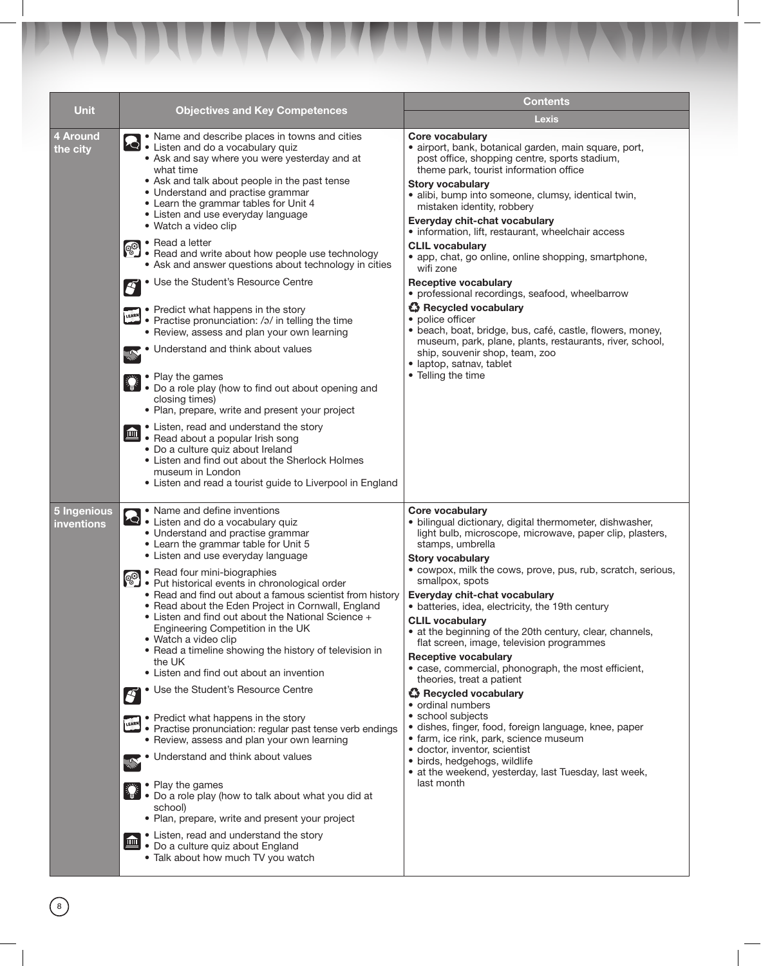| <b>Unit</b>               | <b>Objectives and Key Competences</b>                                                                                                                                                                                                                                                                                                                                                                                                                                                                                                                                 | <b>Contents</b>                                                                                                                                                                                                                                                                                                                                                                                                                                                                |  |
|---------------------------|-----------------------------------------------------------------------------------------------------------------------------------------------------------------------------------------------------------------------------------------------------------------------------------------------------------------------------------------------------------------------------------------------------------------------------------------------------------------------------------------------------------------------------------------------------------------------|--------------------------------------------------------------------------------------------------------------------------------------------------------------------------------------------------------------------------------------------------------------------------------------------------------------------------------------------------------------------------------------------------------------------------------------------------------------------------------|--|
|                           |                                                                                                                                                                                                                                                                                                                                                                                                                                                                                                                                                                       | <b>Lexis</b>                                                                                                                                                                                                                                                                                                                                                                                                                                                                   |  |
| 4 Around<br>the city      | • Name and describe places in towns and cities<br>Let I Listen and do a vocabulary quiz<br>• Ask and say where you were yesterday and at<br>what time<br>• Ask and talk about people in the past tense<br>• Understand and practise grammar<br>• Learn the grammar tables for Unit 4<br>• Listen and use everyday language<br>• Watch a video clip                                                                                                                                                                                                                    | Core vocabulary<br>· airport, bank, botanical garden, main square, port,<br>post office, shopping centre, sports stadium,<br>theme park, tourist information office<br><b>Story vocabulary</b><br>· alibi, bump into someone, clumsy, identical twin,<br>mistaken identity, robbery<br>Everyday chit-chat vocabulary<br>· information, lift, restaurant, wheelchair access                                                                                                     |  |
|                           | • Read a letter<br>Read a letter<br>• Read and write about how people use technology<br>• Read and write about how people use technology<br>• Ask and answer questions about technology in cities                                                                                                                                                                                                                                                                                                                                                                     | <b>CLIL vocabulary</b><br>• app, chat, go online, online shopping, smartphone,<br>wifi zone                                                                                                                                                                                                                                                                                                                                                                                    |  |
|                           | • Use the Student's Resource Centre<br>$\boldsymbol{S}$<br>• Predict what happens in the story<br>• Practise pronunciation: /ə/ in telling the time                                                                                                                                                                                                                                                                                                                                                                                                                   | <b>Receptive vocabulary</b><br>• professional recordings, seafood, wheelbarrow<br><b>☆</b> Recycled vocabulary<br>• police officer                                                                                                                                                                                                                                                                                                                                             |  |
|                           | • Review, assess and plan your own learning<br>• Understand and think about values<br><b>SAN</b>                                                                                                                                                                                                                                                                                                                                                                                                                                                                      | · beach, boat, bridge, bus, café, castle, flowers, money,<br>museum, park, plane, plants, restaurants, river, school,<br>ship, souvenir shop, team, zoo<br>· laptop, satnav, tablet                                                                                                                                                                                                                                                                                            |  |
|                           | • Play the games<br>• Do a role play (how to find out about opening and<br>closing times)<br>· Plan, prepare, write and present your project                                                                                                                                                                                                                                                                                                                                                                                                                          | • Telling the time                                                                                                                                                                                                                                                                                                                                                                                                                                                             |  |
|                           | • Listen, read and understand the story<br>$\blacksquare$<br>• Read about a popular Irish song<br>• Do a culture quiz about Ireland<br>• Listen and find out about the Sherlock Holmes<br>museum in London<br>• Listen and read a tourist guide to Liverpool in England                                                                                                                                                                                                                                                                                               |                                                                                                                                                                                                                                                                                                                                                                                                                                                                                |  |
| 5 Ingenious<br>inventions | • Name and define inventions<br>Listen and do a vocabulary quiz<br>• Understand and practise grammar<br>• Learn the grammar table for Unit 5<br>• Listen and use everyday language                                                                                                                                                                                                                                                                                                                                                                                    | <b>Core vocabulary</b><br>· bilingual dictionary, digital thermometer, dishwasher,<br>light bulb, microscope, microwave, paper clip, plasters,<br>stamps, umbrella<br><b>Story vocabulary</b>                                                                                                                                                                                                                                                                                  |  |
|                           | • Read four mini-biographies<br><b>CO</b> • Read four mini-ploying prince<br>• Put historical events in chronological order<br>• Compute scientist f<br>• Read and find out about a famous scientist from history<br>• Read about the Eden Project in Cornwall, England<br>• Listen and find out about the National Science +<br>Engineering Competition in the UK<br>• Watch a video clip<br>• Read a timeline showing the history of television in<br>the UK<br>• Listen and find out about an invention<br>• Use the Student's Resource Centre<br>$\boldsymbol{S}$ | • cowpox, milk the cows, prove, pus, rub, scratch, serious,<br>smallpox, spots<br>Everyday chit-chat vocabulary<br>• batteries, idea, electricity, the 19th century<br><b>CLIL vocabulary</b><br>• at the beginning of the 20th century, clear, channels,<br>flat screen, image, television programmes<br><b>Receptive vocabulary</b><br>• case, commercial, phonograph, the most efficient,<br>theories, treat a patient<br><b>☆</b> Recycled vocabulary<br>• ordinal numbers |  |
|                           | • Predict what happens in the story<br>LEARN<br>• Practise pronunciation: regular past tense verb endings<br>• Review, assess and plan your own learning<br>Understand and think about values<br><b>SANTA</b>                                                                                                                                                                                                                                                                                                                                                         | • school subjects<br>· dishes, finger, food, foreign language, knee, paper<br>• farm, ice rink, park, science museum<br>· doctor, inventor, scientist<br>· birds, hedgehogs, wildlife<br>• at the weekend, yesterday, last Tuesday, last week,                                                                                                                                                                                                                                 |  |
|                           | • Play the games<br>• Do a role play (how to talk about what you did at<br>school)<br>· Plan, prepare, write and present your project                                                                                                                                                                                                                                                                                                                                                                                                                                 | last month                                                                                                                                                                                                                                                                                                                                                                                                                                                                     |  |
|                           | • Listen, read and understand the story<br>皿<br>• Do a culture quiz about England<br>• Talk about how much TV you watch                                                                                                                                                                                                                                                                                                                                                                                                                                               |                                                                                                                                                                                                                                                                                                                                                                                                                                                                                |  |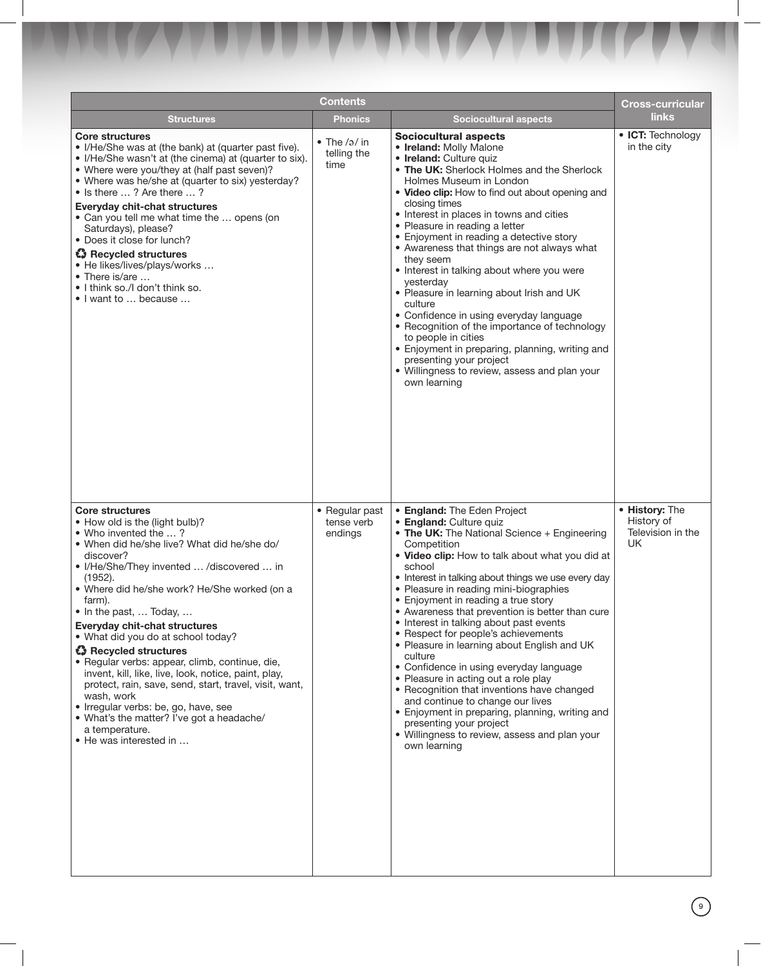|                                                                                                                                                                                                                                                                                                                                                                                                                                                                                                                                                                                                                                                                                                                          | <b>Contents</b>                             |                                                                                                                                                                                                                                                                                                                                                                                                                                                                                                                                                                                                                                                                                                                                                                                                                                               | <b>Cross-curricular</b>                                 |
|--------------------------------------------------------------------------------------------------------------------------------------------------------------------------------------------------------------------------------------------------------------------------------------------------------------------------------------------------------------------------------------------------------------------------------------------------------------------------------------------------------------------------------------------------------------------------------------------------------------------------------------------------------------------------------------------------------------------------|---------------------------------------------|-----------------------------------------------------------------------------------------------------------------------------------------------------------------------------------------------------------------------------------------------------------------------------------------------------------------------------------------------------------------------------------------------------------------------------------------------------------------------------------------------------------------------------------------------------------------------------------------------------------------------------------------------------------------------------------------------------------------------------------------------------------------------------------------------------------------------------------------------|---------------------------------------------------------|
| <b>Structures</b>                                                                                                                                                                                                                                                                                                                                                                                                                                                                                                                                                                                                                                                                                                        | <b>Phonics</b>                              | <b>Sociocultural aspects</b>                                                                                                                                                                                                                                                                                                                                                                                                                                                                                                                                                                                                                                                                                                                                                                                                                  | <b>links</b>                                            |
| <b>Core structures</b><br>• I/He/She was at (the bank) at (quarter past five).<br>• I/He/She wasn't at (the cinema) at (quarter to six).<br>• Where were you/they at (half past seven)?<br>• Where was he/she at (quarter to six) yesterday?<br>• Is there ? Are there ?<br><b>Everyday chit-chat structures</b><br>• Can you tell me what time the  opens (on<br>Saturdays), please?<br>• Does it close for lunch?<br><b>43</b> Recycled structures<br>• He likes/lives/plays/works<br>• There is/are<br>• I think so./I don't think so.<br>• I want to  because                                                                                                                                                        | $\bullet$ The /ə/ in<br>telling the<br>time | <b>Sociocultural aspects</b><br>• Ireland: Molly Malone<br>· Ireland: Culture quiz<br>• The UK: Sherlock Holmes and the Sherlock<br>Holmes Museum in London<br>• Video clip: How to find out about opening and<br>closing times<br>• Interest in places in towns and cities<br>• Pleasure in reading a letter<br>• Enjoyment in reading a detective story<br>• Awareness that things are not always what<br>they seem<br>• Interest in talking about where you were<br>yesterday<br>• Pleasure in learning about Irish and UK<br>culture<br>• Confidence in using everyday language<br>• Recognition of the importance of technology<br>to people in cities<br>• Enjoyment in preparing, planning, writing and<br>presenting your project<br>· Willingness to review, assess and plan your<br>own learning                                    | • ICT: Technology<br>in the city                        |
| <b>Core structures</b><br>• How old is the (light bulb)?<br>• Who invented the ?<br>• When did he/she live? What did he/she do/<br>discover?<br>I/He/She/They invented  /discovered  in<br>(1952).<br>• Where did he/she work? He/She worked (on a<br>farm).<br>• In the past,  Today,<br><b>Everyday chit-chat structures</b><br>• What did you do at school today?<br><b>43</b> Recycled structures<br>· Regular verbs: appear, climb, continue, die,<br>invent, kill, like, live, look, notice, paint, play,<br>protect, rain, save, send, start, travel, visit, want,<br>wash, work<br>• Irregular verbs: be, go, have, see<br>• What's the matter? I've got a headache/<br>a temperature.<br>• He was interested in | • Regular past<br>tense verb<br>endings     | • England: The Eden Project<br>• England: Culture quiz<br>• The UK: The National Science + Engineering<br>Competition<br>. Video clip: How to talk about what you did at<br>school<br>• Interest in talking about things we use every day<br>• Pleasure in reading mini-biographies<br>• Enjoyment in reading a true story<br>• Awareness that prevention is better than cure<br>• Interest in talking about past events<br>• Respect for people's achievements<br>• Pleasure in learning about English and UK<br>culture<br>• Confidence in using everyday language<br>• Pleasure in acting out a role play<br>• Recognition that inventions have changed<br>and continue to change our lives<br>• Enjoyment in preparing, planning, writing and<br>presenting your project<br>• Willingness to review, assess and plan your<br>own learning | • History: The<br>History of<br>Television in the<br>UK |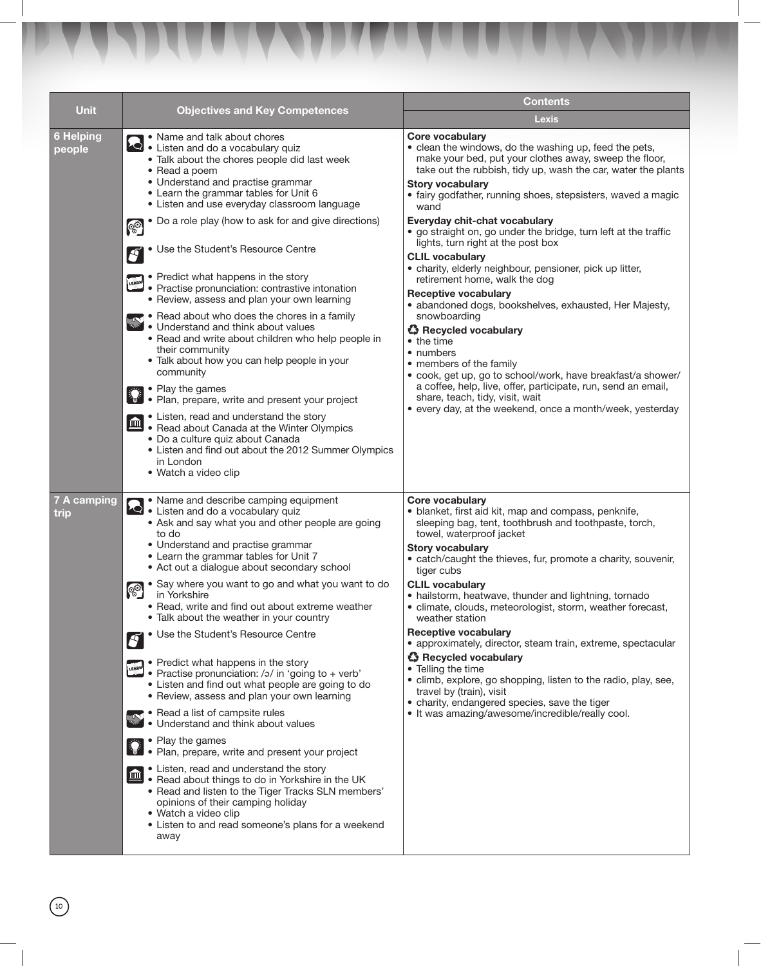| <b>Unit</b>                | <b>Objectives and Key Competences</b>                                                                                                                                                                                                                                                                                                                                                                                                                                                                                                                                                                                                                                                                                                                                                                                                                                                                                                                                                                                                                                                                                                                                  | <b>Contents</b>                                                                                                                                                                                                                                                                                                                                                                                                                                                                                                                                                                                                                                                                                                                                                                                  |  |
|----------------------------|------------------------------------------------------------------------------------------------------------------------------------------------------------------------------------------------------------------------------------------------------------------------------------------------------------------------------------------------------------------------------------------------------------------------------------------------------------------------------------------------------------------------------------------------------------------------------------------------------------------------------------------------------------------------------------------------------------------------------------------------------------------------------------------------------------------------------------------------------------------------------------------------------------------------------------------------------------------------------------------------------------------------------------------------------------------------------------------------------------------------------------------------------------------------|--------------------------------------------------------------------------------------------------------------------------------------------------------------------------------------------------------------------------------------------------------------------------------------------------------------------------------------------------------------------------------------------------------------------------------------------------------------------------------------------------------------------------------------------------------------------------------------------------------------------------------------------------------------------------------------------------------------------------------------------------------------------------------------------------|--|
|                            |                                                                                                                                                                                                                                                                                                                                                                                                                                                                                                                                                                                                                                                                                                                                                                                                                                                                                                                                                                                                                                                                                                                                                                        | <b>Lexis</b>                                                                                                                                                                                                                                                                                                                                                                                                                                                                                                                                                                                                                                                                                                                                                                                     |  |
| <b>6 Helping</b><br>people | • Name and talk about chores<br>Listen and do a vocabulary quiz<br>• Talk about the chores people did last week<br>• Read a poem<br>• Understand and practise grammar<br>• Learn the grammar tables for Unit 6<br>• Listen and use everyday classroom language                                                                                                                                                                                                                                                                                                                                                                                                                                                                                                                                                                                                                                                                                                                                                                                                                                                                                                         | <b>Core vocabulary</b><br>• clean the windows, do the washing up, feed the pets,<br>make your bed, put your clothes away, sweep the floor,<br>take out the rubbish, tidy up, wash the car, water the plants<br><b>Story vocabulary</b><br>• fairy godfather, running shoes, stepsisters, waved a magic<br>wand                                                                                                                                                                                                                                                                                                                                                                                                                                                                                   |  |
|                            | • Do a role play (how to ask for and give directions)<br><b>OO</b><br>• Use the Student's Resource Centre<br>$ \boldsymbol{\mathcal{S}} $<br>• Predict what happens in the story<br><b>FEARLY</b> Practise pronunciation: contrastive intonation<br>• Review, assess and plan your own learning<br>Read about who does the chores in a family<br>• Understand and think about values<br>• Read and write about children who help people in<br>their community<br>• Talk about how you can help people in your<br>community<br>• Play the games<br>• Plan, prepare, write and present your project<br>• Listen, read and understand the story<br>血<br>• Read about Canada at the Winter Olympics<br>• Do a culture quiz about Canada<br>• Listen and find out about the 2012 Summer Olympics<br>in London<br>• Watch a video clip                                                                                                                                                                                                                                                                                                                                       | Everyday chit-chat vocabulary<br>• go straight on, go under the bridge, turn left at the traffic<br>lights, turn right at the post box<br><b>CLIL vocabulary</b><br>• charity, elderly neighbour, pensioner, pick up litter,<br>retirement home, walk the dog<br><b>Receptive vocabulary</b><br>• abandoned dogs, bookshelves, exhausted, Her Majesty,<br>snowboarding<br><b>43</b> Recycled vocabulary<br>• the time<br>• numbers<br>• members of the family<br>• cook, get up, go to school/work, have breakfast/a shower/<br>a coffee, help, live, offer, participate, run, send an email,<br>share, teach, tidy, visit, wait<br>• every day, at the weekend, once a month/week, yesterday                                                                                                    |  |
| 7 A camping<br>trip        | • Name and describe camping equipment<br><b>2</b> Name and do a vocabulary quiz<br>• Ask and say what you and other people are going<br>to do<br>• Understand and practise grammar<br>• Learn the grammar tables for Unit 7<br>• Act out a dialogue about secondary school<br>• Say where you want to go and what you want to do<br><b>OO</b><br>in Yorkshire<br>• Read, write and find out about extreme weather<br>• Talk about the weather in your country<br>• Use the Student's Resource Centre<br>$\boldsymbol{S}$<br>• Predict what happens in the story<br>LEARN<br>• Practise pronunciation: /ə/ in 'going to + verb'<br>• Listen and find out what people are going to do<br>• Review, assess and plan your own learning<br>Read a list of campsite rules<br>• Understand and think about values<br>• Play the games<br>• Plan, prepare, write and present your project<br>• Listen, read and understand the story<br>血<br>. Read about things to do in Yorkshire in the UK<br>• Read and listen to the Tiger Tracks SLN members'<br>opinions of their camping holiday<br>• Watch a video clip<br>• Listen to and read someone's plans for a weekend<br>away | <b>Core vocabulary</b><br>· blanket, first aid kit, map and compass, penknife,<br>sleeping bag, tent, toothbrush and toothpaste, torch,<br>towel, waterproof jacket<br><b>Story vocabulary</b><br>• catch/caught the thieves, fur, promote a charity, souvenir,<br>tiger cubs<br><b>CLIL vocabulary</b><br>• hailstorm, heatwave, thunder and lightning, tornado<br>• climate, clouds, meteorologist, storm, weather forecast,<br>weather station<br><b>Receptive vocabulary</b><br>• approximately, director, steam train, extreme, spectacular<br>Recycled vocabulary<br>• Telling the time<br>• climb, explore, go shopping, listen to the radio, play, see,<br>travel by (train), visit<br>• charity, endangered species, save the tiger<br>• It was amazing/awesome/incredible/really cool. |  |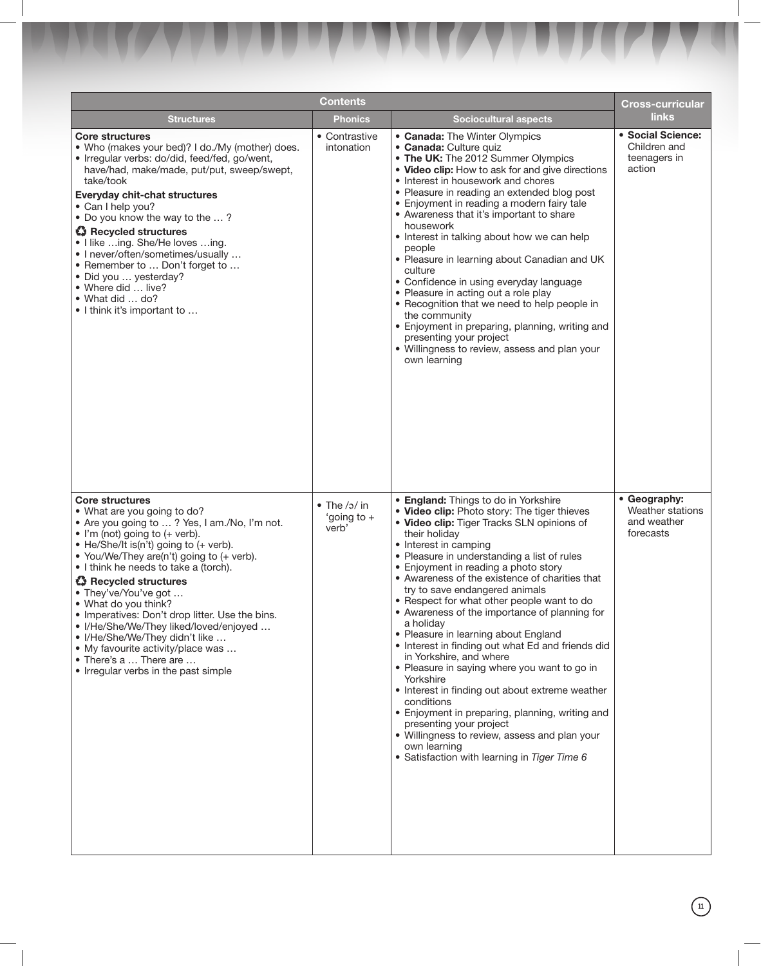|                                                                                                                                                                                                                                                                                                                                                                                                                                                                                                                                                                                                                | <b>Contents</b>                         |                                                                                                                                                                                                                                                                                                                                                                                                                                                                                                                                                                                                                                                                                                                                                                                                                                                                                                                                 | <b>Cross-curricular</b>                                      |
|----------------------------------------------------------------------------------------------------------------------------------------------------------------------------------------------------------------------------------------------------------------------------------------------------------------------------------------------------------------------------------------------------------------------------------------------------------------------------------------------------------------------------------------------------------------------------------------------------------------|-----------------------------------------|---------------------------------------------------------------------------------------------------------------------------------------------------------------------------------------------------------------------------------------------------------------------------------------------------------------------------------------------------------------------------------------------------------------------------------------------------------------------------------------------------------------------------------------------------------------------------------------------------------------------------------------------------------------------------------------------------------------------------------------------------------------------------------------------------------------------------------------------------------------------------------------------------------------------------------|--------------------------------------------------------------|
| <b>Structures</b>                                                                                                                                                                                                                                                                                                                                                                                                                                                                                                                                                                                              | <b>Phonics</b>                          | <b>Sociocultural aspects</b>                                                                                                                                                                                                                                                                                                                                                                                                                                                                                                                                                                                                                                                                                                                                                                                                                                                                                                    | <b>links</b>                                                 |
| <b>Core structures</b><br>• Who (makes your bed)? I do./My (mother) does.<br>• Irregular verbs: do/did, feed/fed, go/went,<br>have/had, make/made, put/put, sweep/swept,<br>take/took<br><b>Everyday chit-chat structures</b><br>• Can I help you?<br>• Do you know the way to the ?<br>Recycled structures<br>• I like ing. She/He loves ing.<br>• I never/often/sometimes/usually<br>• Remember to  Don't forget to<br>· Did you  yesterday?<br>• Where did  live?<br>• What did  do?<br>• I think it's important to                                                                                         | • Contrastive<br>intonation             | • Canada: The Winter Olympics<br>· Canada: Culture quiz<br>• The UK: The 2012 Summer Olympics<br>• Video clip: How to ask for and give directions<br>• Interest in housework and chores<br>• Pleasure in reading an extended blog post<br>• Enjoyment in reading a modern fairy tale<br>• Awareness that it's important to share<br>housework<br>• Interest in talking about how we can help<br>people<br>• Pleasure in learning about Canadian and UK<br>culture<br>• Confidence in using everyday language<br>• Pleasure in acting out a role play<br>• Recognition that we need to help people in<br>the community<br>• Enjoyment in preparing, planning, writing and<br>presenting your project<br>• Willingness to review, assess and plan your<br>own learning                                                                                                                                                            | · Social Science:<br>Children and<br>teenagers in<br>action  |
| <b>Core structures</b><br>• What are you going to do?<br>• Are you going to ? Yes, I am./No, I'm not.<br>$\bullet$ I'm (not) going to (+ verb).<br>• He/She/It is(n't) going to (+ verb).<br>• You/We/They are(n't) going to (+ verb).<br>$\bullet$ I think he needs to take a (torch).<br><b>43</b> Recycled structures<br>• They've/You've got<br>• What do you think?<br>• Imperatives: Don't drop litter. Use the bins.<br>• I/He/She/We/They liked/loved/enjoyed<br>• I/He/She/We/They didn't like<br>• My favourite activity/place was<br>• There's a  There are<br>• Irregular verbs in the past simple | • The $/a$ in<br>'going to $+$<br>verb' | <b>• England:</b> Things to do in Yorkshire<br>. Video clip: Photo story: The tiger thieves<br>. Video clip: Tiger Tracks SLN opinions of<br>their holiday<br>• Interest in camping<br>• Pleasure in understanding a list of rules<br>• Enjoyment in reading a photo story<br>• Awareness of the existence of charities that<br>try to save endangered animals<br>• Respect for what other people want to do<br>• Awareness of the importance of planning for<br>a holiday<br>• Pleasure in learning about England<br>• Interest in finding out what Ed and friends did<br>in Yorkshire, and where<br>• Pleasure in saying where you want to go in<br>Yorkshire<br>• Interest in finding out about extreme weather<br>conditions<br>• Enjoyment in preparing, planning, writing and<br>presenting your project<br>• Willingness to review, assess and plan your<br>own learning<br>• Satisfaction with learning in Tiger Time 6 | • Geography:<br>Weather stations<br>and weather<br>forecasts |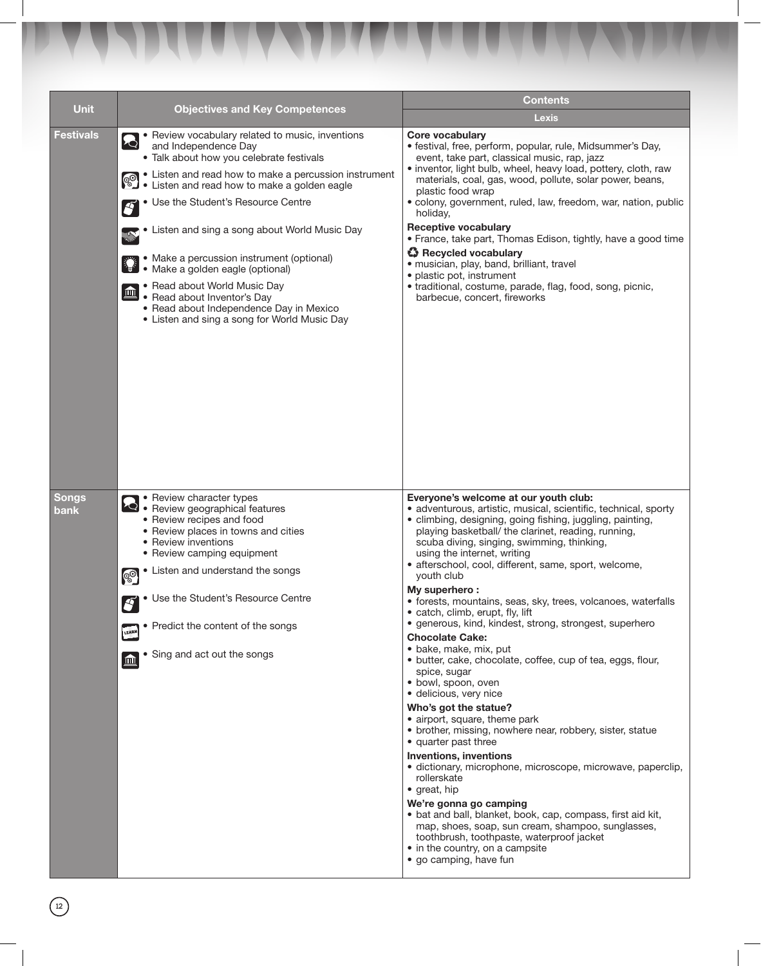| <b>Unit</b> | <b>Objectives and Key Competences</b>                                                                                                                                                                                                                                                                                                                                                                                                                                                                                                                                                                                               | <b>Contents</b>                                                                                                                                                                                                                                                                                                                                                                                                                                                                                                                                                                                                                                                                                                                                                                                                                                                                                                                                                                                                                                                                                                                                                                                                                                    |  |
|-------------|-------------------------------------------------------------------------------------------------------------------------------------------------------------------------------------------------------------------------------------------------------------------------------------------------------------------------------------------------------------------------------------------------------------------------------------------------------------------------------------------------------------------------------------------------------------------------------------------------------------------------------------|----------------------------------------------------------------------------------------------------------------------------------------------------------------------------------------------------------------------------------------------------------------------------------------------------------------------------------------------------------------------------------------------------------------------------------------------------------------------------------------------------------------------------------------------------------------------------------------------------------------------------------------------------------------------------------------------------------------------------------------------------------------------------------------------------------------------------------------------------------------------------------------------------------------------------------------------------------------------------------------------------------------------------------------------------------------------------------------------------------------------------------------------------------------------------------------------------------------------------------------------------|--|
|             |                                                                                                                                                                                                                                                                                                                                                                                                                                                                                                                                                                                                                                     | <b>Lexis</b>                                                                                                                                                                                                                                                                                                                                                                                                                                                                                                                                                                                                                                                                                                                                                                                                                                                                                                                                                                                                                                                                                                                                                                                                                                       |  |
| Festivals   | • Review vocabulary related to music, inventions<br>$\mathcal{L}$<br>and Independence Day<br>· Talk about how you celebrate festivals<br>• Listen and read how to make a percussion instrument<br>September 2016 and read now to make a golden eagle<br>• Use the Student's Resource Centre<br>$\boldsymbol{S}$<br>• Listen and sing a song about World Music Day<br><b>AND REA</b><br>• Make a percussion instrument (optional)<br>• Make a golden eagle (optional)<br>• Read about World Music Day<br>血<br>• Read about Inventor's Day<br>• Read about Independence Day in Mexico<br>• Listen and sing a song for World Music Day | <b>Core vocabulary</b><br>· festival, free, perform, popular, rule, Midsummer's Day,<br>event, take part, classical music, rap, jazz<br>• inventor, light bulb, wheel, heavy load, pottery, cloth, raw<br>materials, coal, gas, wood, pollute, solar power, beans,<br>plastic food wrap<br>· colony, government, ruled, law, freedom, war, nation, public<br>holiday,<br><b>Receptive vocabulary</b><br>• France, take part, Thomas Edison, tightly, have a good time<br>Recycled vocabulary<br>· musician, play, band, brilliant, travel<br>• plastic pot, instrument<br>• traditional, costume, parade, flag, food, song, picnic,<br>barbecue, concert, fireworks                                                                                                                                                                                                                                                                                                                                                                                                                                                                                                                                                                                |  |
| Songs       | • Review character types                                                                                                                                                                                                                                                                                                                                                                                                                                                                                                                                                                                                            | Everyone's welcome at our youth club:                                                                                                                                                                                                                                                                                                                                                                                                                                                                                                                                                                                                                                                                                                                                                                                                                                                                                                                                                                                                                                                                                                                                                                                                              |  |
| bank        | Review geographical features<br>• Review recipes and food<br>• Review places in towns and cities<br>• Review inventions<br>• Review camping equipment<br>• Listen and understand the songs<br><b>OO</b><br>• Use the Student's Resource Centre<br>$\boldsymbol{S}$<br>• Predict the content of the songs<br>LEARN<br>• Sing and act out the songs<br>$\mathbf{m}$                                                                                                                                                                                                                                                                   | · adventurous, artistic, musical, scientific, technical, sporty<br>• climbing, designing, going fishing, juggling, painting,<br>playing basketball/ the clarinet, reading, running,<br>scuba diving, singing, swimming, thinking,<br>using the internet, writing<br>· afterschool, cool, different, same, sport, welcome,<br>vouth club<br>My superhero:<br>· forests, mountains, seas, sky, trees, volcanoes, waterfalls<br>• catch, climb, erupt, fly, lift<br>· generous, kind, kindest, strong, strongest, superhero<br><b>Chocolate Cake:</b><br>· bake, make, mix, put<br>• butter, cake, chocolate, coffee, cup of tea, eggs, flour,<br>spice, sugar<br>· bowl, spoon, oven<br>· delicious, very nice<br>Who's got the statue?<br>• airport, square, theme park<br>• brother, missing, nowhere near, robbery, sister, statue<br>• quarter past three<br><b>Inventions, inventions</b><br>· dictionary, microphone, microscope, microwave, paperclip,<br>rollerskate<br>• great, hip<br>We're gonna go camping<br>• bat and ball, blanket, book, cap, compass, first aid kit,<br>map, shoes, soap, sun cream, shampoo, sunglasses,<br>toothbrush, toothpaste, waterproof jacket<br>• in the country, on a campsite<br>• go camping, have fun |  |

 $\begin{picture}(22,20) \put(0,0){\line(1,0){15}} \put(15,0){\line(1,0){15}} \put(15,0){\line(1,0){15}} \put(15,0){\line(1,0){15}} \put(15,0){\line(1,0){15}} \put(15,0){\line(1,0){15}} \put(15,0){\line(1,0){15}} \put(15,0){\line(1,0){15}} \put(15,0){\line(1,0){15}} \put(15,0){\line(1,0){15}} \put(15,0){\line(1,0){15}} \put(15,0){\line(1$